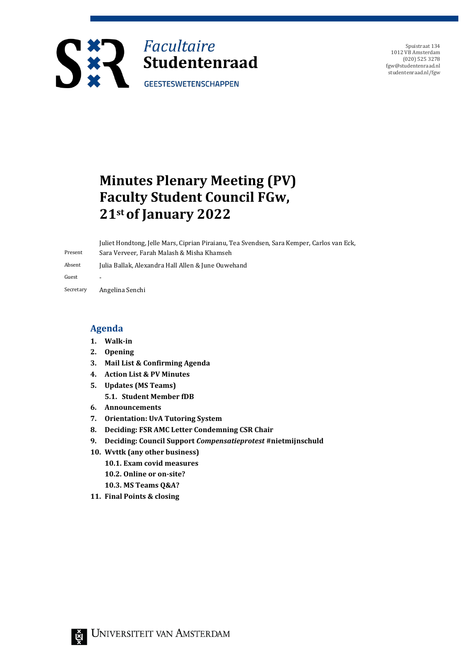

Spuistraat 134 1012 VB Amsterdam (020) 525 3278 fgw@studentenraad.nl studentenraad.nl/fgw

# **Minutes Plenary Meeting (PV) Faculty Student Council FGw, 21stof January 2022**

Present Juliet Hondtong, Jelle Mars, Ciprian Piraianu, Tea Svendsen, Sara Kemper, Carlos van Eck, Sara Verveer, Farah Malash & Misha Khamseh Absent Julia Ballak, Alexandra Hall Allen & June Ouwehand Guest

Secretary Angelina Senchi

#### **Agenda**

- **1. Walk-in**
- **2. Opening**
- **3. Mail List & Confirming Agenda**
- **4. Action List & PV Minutes**
- **5. Updates (MS Teams)**
	- **5.1. Student Member fDB**
- **6. Announcements**
- **7. Orientation: UvA Tutoring System**
- **8. Deciding: FSR AMC Letter Condemning CSR Chair**
- **9. Deciding: Council Support** *Compensatieprotest* **#nietmijnschuld**
- **10. Wvttk (any other business)**
	- **10.1. Exam covid measures**
	- **10.2. Online or on-site?**
	- **10.3. MS Teams Q&A?**
- **11. Final Points & closing**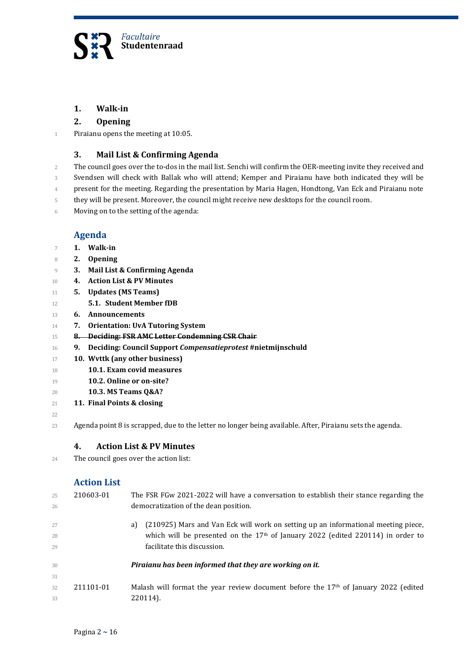

#### **1. Walk-in**

#### **2. Opening**

Piraianu opens the meeting at 10:05.

#### **3. Mail List & Confirming Agenda**

- 2 The council goes over the to-dos in the mail list. Senchi will confirm the OER-meeting invite they received and
- Svendsen will check with Ballak who will attend; Kemper and Piraianu have both indicated they will be
- present for the meeting. Regarding the presentation by Maria Hagen, Hondtong, Van Eck and Piraianu note
- they will be present. Moreover, the council might receive new desktops for the council room.
- Moving on to the setting of the agenda:

#### **Agenda**

- **1. Walk-in**
- **2. Opening**
- **3. Mail List & Confirming Agenda**
- **4. Action List & PV Minutes**
- **5. Updates (MS Teams)**
- **5.1. Student Member fDB**
- **6. Announcements**
- **7. Orientation: UvA Tutoring System**
- **8. Deciding: FSR AMC Letter Condemning CSR Chair**
- **9. Deciding: Council Support** *Compensatieprotest* **#nietmijnschuld**
- **10. Wvttk (any other business)**
- **10.1. Exam covid measures**
- **10.2. Online or on-site?**
- **10.3. MS Teams Q&A?**
- **11. Final Points & closing**

Agenda point 8 is scrapped, due to the letter no longer being available. After, Piraianu sets the agenda.

#### **4. Action List & PV Minutes**

The council goes over the action list:

#### **Action List**

| 25 | 210603-01 | The FSR FGw 2021-2022 will have a conversation to establish their stance regarding the      |
|----|-----------|---------------------------------------------------------------------------------------------|
| 26 |           | democratization of the dean position.                                                       |
| 27 |           | (210925) Mars and Van Eck will work on setting up an informational meeting piece,<br>a)     |
| 28 |           | which will be presented on the 17 <sup>th</sup> of January 2022 (edited 220114) in order to |
| 29 |           | facilitate this discussion.                                                                 |
| 30 |           | Piraianu has been informed that they are working on it.                                     |
| 31 |           |                                                                                             |
| 32 | 211101-01 | Malash will format the year review document before the $17th$ of January 2022 (edited       |
| 33 |           | 220114).                                                                                    |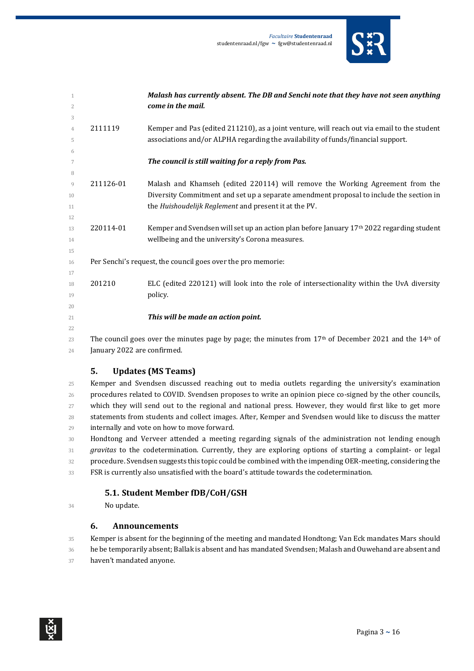

| 1              |                             | Malash has currently absent. The DB and Senchi note that they have not seen anything                       |
|----------------|-----------------------------|------------------------------------------------------------------------------------------------------------|
| 2              |                             | come in the mail.                                                                                          |
| 3              |                             |                                                                                                            |
| $\overline{4}$ | 2111119                     | Kemper and Pas (edited 211210), as a joint venture, will reach out via email to the student                |
| 5              |                             | associations and/or ALPHA regarding the availability of funds/financial support.                           |
| 6              |                             |                                                                                                            |
| 7              |                             | The council is still waiting for a reply from Pas.                                                         |
| 8              |                             |                                                                                                            |
| 9              | 211126-01                   | Malash and Khamseh (edited 220114) will remove the Working Agreement from the                              |
| 10             |                             | Diversity Commitment and set up a separate amendment proposal to include the section in                    |
| 11             |                             | the Huishoudelijk Reglement and present it at the PV.                                                      |
| 12             |                             |                                                                                                            |
| 13             | 220114-01                   | Kemper and Svendsen will set up an action plan before January 17 <sup>th</sup> 2022 regarding student      |
| 14             |                             | wellbeing and the university's Corona measures.                                                            |
| 15             |                             |                                                                                                            |
| 16             |                             | Per Senchi's request, the council goes over the pro memorie:                                               |
| 17             |                             |                                                                                                            |
| 18             | 201210                      | ELC (edited 220121) will look into the role of intersectionality within the UvA diversity                  |
| 19             |                             | policy.                                                                                                    |
| 20             |                             |                                                                                                            |
| 21             |                             | This will be made an action point.                                                                         |
| 22             |                             |                                                                                                            |
| 23             |                             | The council goes over the minutes page by page; the minutes from $17th$ of December 2021 and the $14th$ of |
| 24             | January 2022 are confirmed. |                                                                                                            |

#### **5. Updates (MS Teams)**

25 Kemper and Svendsen discussed reaching out to media outlets regarding the university's examination procedures related to COVID. Svendsen proposes to write an opinion piece co-signed by the other councils, which they will send out to the regional and national press. However, they would first like to get more statements from students and collect images. After, Kemper and Svendsen would like to discuss the matter internally and vote on how to move forward.

 Hondtong and Verveer attended a meeting regarding signals of the administration not lending enough *gravitas* to the codetermination. Currently, they are exploring options of starting a complaint- or legal procedure. Svendsen suggests this topic could be combined with the impending OER-meeting, considering the

## 33 FSR is currently also unsatisfied with the board's attitude towards the codetermination.

#### **5.1. Student Member fDB/CoH/GSH**

No update.

#### **6. Announcements**

 Kemper is absent for the beginning of the meeting and mandated Hondtong; Van Eck mandates Mars should he be temporarily absent; Ballak is absent and has mandated Svendsen; Malash and Ouwehand are absent and 37 haven't mandated anyone.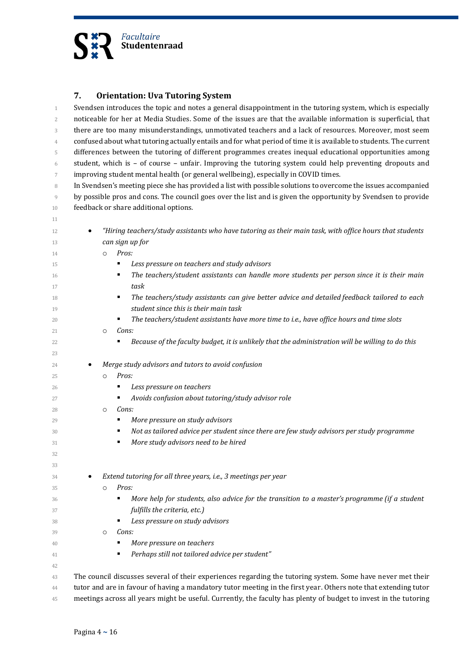

#### **7. Orientation: Uva Tutoring System**

 Svendsen introduces the topic and notes a general disappointment in the tutoring system, which is especially noticeable for her at Media Studies. Some of the issues are that the available information is superficial, that there are too many misunderstandings, unmotivated teachers and a lack of resources. Moreover, most seem confused about what tutoring actually entails and for what period of time it is available to students. The current differences between the tutoring of different programmes creates inequal educational opportunities among 6 student, which is  $-$  of course  $-$  unfair. Improving the tutoring system could help preventing dropouts and improving student mental health (or general wellbeing), especially in COVID times.

8 In Svendsen's meeting piece she has provided a list with possible solutions to overcome the issues accompanied by possible pros and cons. The council goes over the list and is given the opportunity by Svendsen to provide feedback or share additional options.

| 12       | "Hiring teachers/study assistants who have tutoring as their main task, with office hours that students          |
|----------|------------------------------------------------------------------------------------------------------------------|
| 13       | can sign up for                                                                                                  |
| 14       | Pros:<br>$\circ$                                                                                                 |
| 15       | Less pressure on teachers and study advisors<br>٠                                                                |
| 16<br>17 | The teachers/student assistants can handle more students per person since it is their main<br>٠<br>task          |
| 18       | The teachers/study assistants can give better advice and detailed feedback tailored to each<br>٠                 |
| 19       | student since this is their main task                                                                            |
| 20       | The teachers/student assistants have more time to i.e., have office hours and time slots                         |
| 21       | Cons:<br>$\circ$                                                                                                 |
| 22       | Because of the faculty budget, it is unlikely that the administration will be willing to do this<br>٠            |
| 23       |                                                                                                                  |
| 24       | Merge study advisors and tutors to avoid confusion                                                               |
| 25       | Pros:<br>$\Omega$                                                                                                |
| 26       | Less pressure on teachers<br>٠                                                                                   |
| 27       | Avoids confusion about tutoring/study advisor role<br>٠                                                          |
| 28       | Cons:<br>$\circ$                                                                                                 |
| 29       | More pressure on study advisors<br>٠                                                                             |
| 30       | Not as tailored advice per student since there are few study advisors per study programme<br>٠                   |
| 31       | More study advisors need to be hired<br>٠                                                                        |
| 32       |                                                                                                                  |
| 33       |                                                                                                                  |
| 34       | Extend tutoring for all three years, i.e., 3 meetings per year                                                   |
| 35       | Pros:<br>$\circ$                                                                                                 |
| 36       | More help for students, also advice for the transition to a master's programme (if a student<br>٠                |
| 37       | fulfills the criteria, etc.)                                                                                     |
| 38       | Less pressure on study advisors<br>٠                                                                             |
| 39       | Cons:<br>$\circ$                                                                                                 |
| 40       | More pressure on teachers<br>٠                                                                                   |
| 41       | Perhaps still not tailored advice per student"<br>٠                                                              |
| 42       |                                                                                                                  |
| 43       | The council discusses several of their experiences regarding the tutoring system. Some have never met their      |
| 44       | tutor and are in favour of having a mandatory tutor meeting in the first year. Others note that extending tutor  |
| 45       | meetings across all years might be useful. Currently, the faculty has plenty of budget to invest in the tutoring |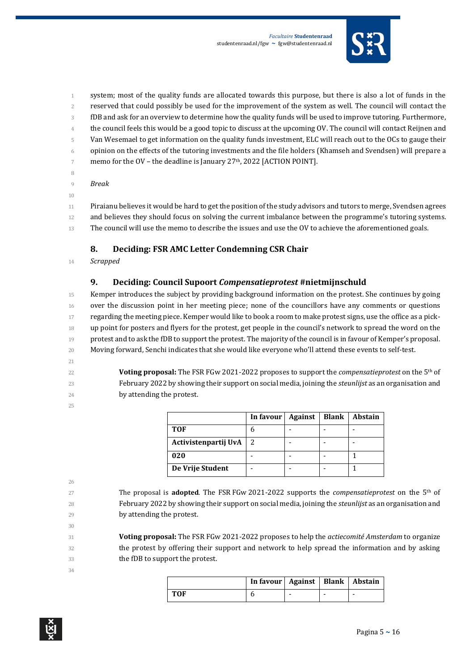

 system; most of the quality funds are allocated towards this purpose, but there is also a lot of funds in the reserved that could possibly be used for the improvement of the system as well. The council will contact the fDB and ask for an overview to determine how the quality funds will be used to improve tutoring. Furthermore, the council feels this would be a good topic to discuss at the upcoming OV. The council will contact Reijnen and Van Wesemael to get information on the quality funds investment, ELC will reach out to the OCs to gauge their opinion on the effects of the tutoring investments and the file holders (Khamseh and Svendsen) will prepare a  $\frac{1}{7}$  memo for the OV – the deadline is January 27<sup>th</sup>, 2022 [ACTION POINT]. 

- *Break*
- 

 Piraianu believes it would be hard to get the position of the study advisors and tutors to merge, Svendsen agrees 12 and believes they should focus on solving the current imbalance between the programme's tutoring systems. The council will use the memo to describe the issues and use the OV to achieve the aforementioned goals.

#### **8. Deciding: FSR AMC Letter Condemning CSR Chair**

*Scrapped*

#### **9. Deciding: Council Supoort** *Compensatieprotest* **#nietmijnschuld**

 Kemper introduces the subject by providing background information on the protest. She continues by going over the discussion point in her meeting piece; none of the councillors have any comments or questions 17 regarding the meeting piece. Kemper would like to book a room to make protest signs, use the office as a pick-**b** up point for posters and flyers for the protest, get people in the council's network to spread the word on the 19 protest and to ask the fDB to support the protest. The majority of the council is in favour of Kemper's proposal. 20 Moving forward, Senchi indicates that she would like everyone who'll attend these events to self-test.

- 
- 22 **Voting proposal:** The FSR FGw 2021-2022 proposes to support the *compensatieprotest* on the 5<sup>th</sup> of February 2022 by showing their support on social media, joining the *steunlijst* as an organisation and
- by attending the protest.
- 

|                      | In favour   Against | <b>Blank</b> | <b>Abstain</b> |
|----------------------|---------------------|--------------|----------------|
| TOF                  |                     |              |                |
| Activistenpartij UvA |                     |              |                |
| 020                  |                     |              |                |
| De Vrije Student     |                     |              |                |

- The proposal is **adopted**. The FSR FGw 2021-2022 supports the *compensatieprotest* on the 5<sup>th</sup> of February 2022 by showing their support on social media, joining the *steunlijst* as an organisation and by attending the protest.
- 

 **Voting proposal:** The FSR FGw 2021-2022 proposes to help the *actiecomité Amsterdam* to organize the protest by offering their support and network to help spread the information and by asking the fDB to support the protest.

|     | In favour   Against   Blank   Abstain |  |  |
|-----|---------------------------------------|--|--|
| TOF |                                       |  |  |

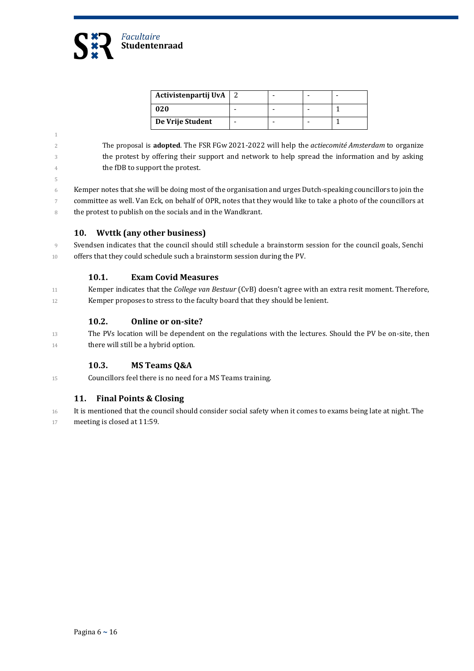

5

| Activistenpartij UvA |  |  |
|----------------------|--|--|
| 020                  |  |  |
| De Vrije Student     |  |  |

- 2 The proposal is adopted. The FSR FGw 2021-2022 will help the *actiecomité Amsterdam* to organize 3 the protest by offering their support and network to help spread the information and by asking 4 the fDB to support the protest.
- 6 Kemper notes that she will be doing most of the organisation and urges Dutch-speaking councillors to join the committee as well. Van Eck, on behalf of OPR, notes that they would like to take a photo of the councillors at 8 the protest to publish on the socials and in the Wandkrant.

#### **10. Wvttk (any other business)**

9 Svendsen indicates that the council should still schedule a brainstorm session for the council goals, Senchi 10 offers that they could schedule such a brainstorm session during the PV.

#### **10.1. Exam Covid Measures**

11 Kemper indicates that the *College van Bestuur* (CvB) doesn't agree with an extra resit moment. Therefore, 12 Kemper proposes to stress to the faculty board that they should be lenient.

#### **10.2. Online or on-site?**

13 The PVs location will be dependent on the regulations with the lectures. Should the PV be on-site, then 14 **there will still be a hybrid option.** 

#### **10.3. MS Teams Q&A**

15 Councillors feel there is no need for a MS Teams training.

#### **11. Final Points & Closing**

16 It is mentioned that the council should consider social safety when it comes to exams being late at night. The 17 meeting is closed at 11:59.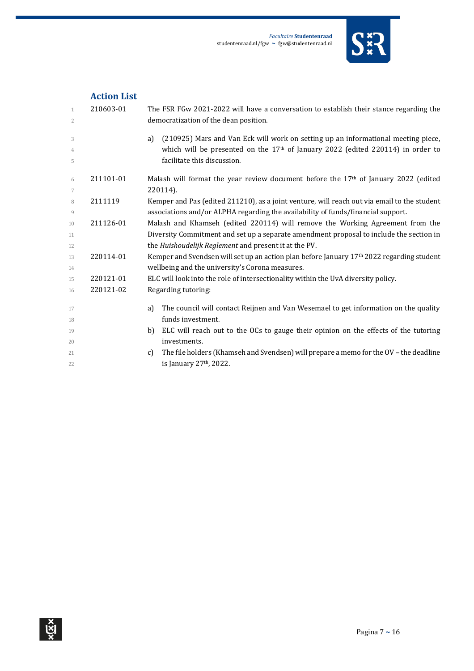

## **Action List**

| 1<br>2              | 210603-01 | The FSR FGw 2021-2022 will have a conversation to establish their stance regarding the<br>democratization of the dean position. |
|---------------------|-----------|---------------------------------------------------------------------------------------------------------------------------------|
| 3                   |           | (210925) Mars and Van Eck will work on setting up an informational meeting piece,<br>a)                                         |
| $\overline{4}$<br>5 |           | which will be presented on the $17th$ of January 2022 (edited 220114) in order to<br>facilitate this discussion.                |
| 6                   | 211101-01 | Malash will format the year review document before the $17th$ of January 2022 (edited                                           |
| 7                   |           | 220114).                                                                                                                        |
| 8                   | 2111119   | Kemper and Pas (edited 211210), as a joint venture, will reach out via email to the student                                     |
| 9                   |           | associations and/or ALPHA regarding the availability of funds/financial support.                                                |
| 10                  | 211126-01 | Malash and Khamseh (edited 220114) will remove the Working Agreement from the                                                   |
| 11                  |           | Diversity Commitment and set up a separate amendment proposal to include the section in                                         |
| 12                  |           | the Huishoudelijk Reglement and present it at the PV.                                                                           |
| 13                  | 220114-01 | Kemper and Svendsen will set up an action plan before January 17th 2022 regarding student                                       |
| 14                  |           | wellbeing and the university's Corona measures.                                                                                 |
| 15                  | 220121-01 | ELC will look into the role of intersectionality within the UvA diversity policy.                                               |
| 16                  | 220121-02 | Regarding tutoring:                                                                                                             |
| 17                  |           | The council will contact Reijnen and Van Wesemael to get information on the quality<br>a)                                       |
| 18                  |           | funds investment.                                                                                                               |
| 19                  |           | ELC will reach out to the OCs to gauge their opinion on the effects of the tutoring<br>b)                                       |
| 20                  |           | investments.                                                                                                                    |
| 21                  |           | The file holders (Khamseh and Svendsen) will prepare a memo for the OV - the deadline<br>$\mathcal{C}$                          |
| 22                  |           | is January 27th, 2022.                                                                                                          |
|                     |           |                                                                                                                                 |

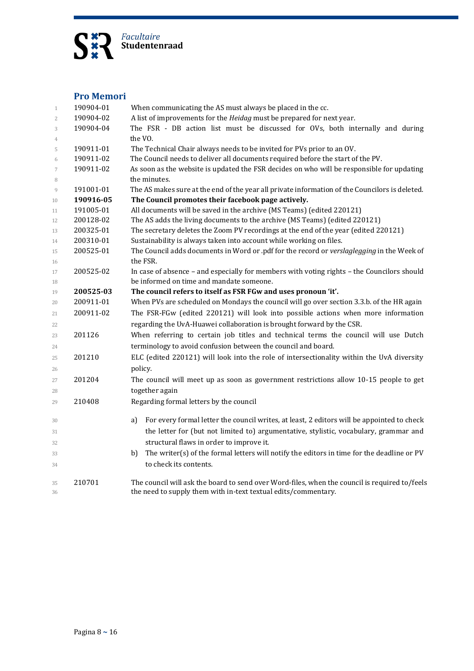

#### **Pro Memori**

| 1                | 190904-01 | When communicating the AS must always be placed in the cc.                                       |
|------------------|-----------|--------------------------------------------------------------------------------------------------|
| $\overline{2}$   | 190904-02 | A list of improvements for the Heidag must be prepared for next year.                            |
| 3                | 190904-04 | The FSR - DB action list must be discussed for OVs, both internally and during                   |
| 4                |           | the VO.                                                                                          |
| 5                | 190911-01 | The Technical Chair always needs to be invited for PVs prior to an OV.                           |
| 6                | 190911-02 | The Council needs to deliver all documents required before the start of the PV.                  |
| $\boldsymbol{7}$ | 190911-02 | As soon as the website is updated the FSR decides on who will be responsible for updating        |
| 8                |           | the minutes.                                                                                     |
| 9                | 191001-01 | The AS makes sure at the end of the year all private information of the Councilors is deleted.   |
| 10               | 190916-05 | The Council promotes their facebook page actively.                                               |
| 11               | 191005-01 | All documents will be saved in the archive (MS Teams) (edited 220121)                            |
| 12               | 200128-02 | The AS adds the living documents to the archive (MS Teams) (edited 220121)                       |
| 13               | 200325-01 | The secretary deletes the Zoom PV recordings at the end of the year (edited 220121)              |
| 14               | 200310-01 | Sustainability is always taken into account while working on files.                              |
| 15               | 200525-01 | The Council adds documents in Word or .pdf for the record or verslaglegging in the Week of       |
| 16               |           | the FSR.                                                                                         |
| 17               | 200525-02 | In case of absence - and especially for members with voting rights - the Councilors should       |
| 18               |           | be informed on time and mandate someone.                                                         |
| 19               | 200525-03 | The council refers to itself as FSR FGw and uses pronoun 'it'.                                   |
| 20               | 200911-01 | When PVs are scheduled on Mondays the council will go over section 3.3.b. of the HR again        |
| 21               | 200911-02 | The FSR-FGw (edited 220121) will look into possible actions when more information                |
| 22               |           | regarding the UvA-Huawei collaboration is brought forward by the CSR.                            |
| 23               | 201126    | When referring to certain job titles and technical terms the council will use Dutch              |
| 24               |           | terminology to avoid confusion between the council and board.                                    |
| 25               | 201210    | ELC (edited 220121) will look into the role of intersectionality within the UvA diversity        |
| 26               |           | policy.                                                                                          |
| 27               | 201204    | The council will meet up as soon as government restrictions allow 10-15 people to get            |
| 28               |           | together again                                                                                   |
| 29               | 210408    | Regarding formal letters by the council                                                          |
|                  |           |                                                                                                  |
| 30               |           | For every formal letter the council writes, at least, 2 editors will be appointed to check<br>a) |
| 31               |           | the letter for (but not limited to) argumentative, stylistic, vocabulary, grammar and            |
| 32               |           | structural flaws in order to improve it.                                                         |
| 33               |           | The writer(s) of the formal letters will notify the editors in time for the deadline or PV<br>b) |
| 34               |           | to check its contents.                                                                           |
|                  |           |                                                                                                  |
| 35               | 210701    | The council will ask the board to send over Word-files, when the council is required to/feels    |
| 36               |           | the need to supply them with in-text textual edits/commentary.                                   |
|                  |           |                                                                                                  |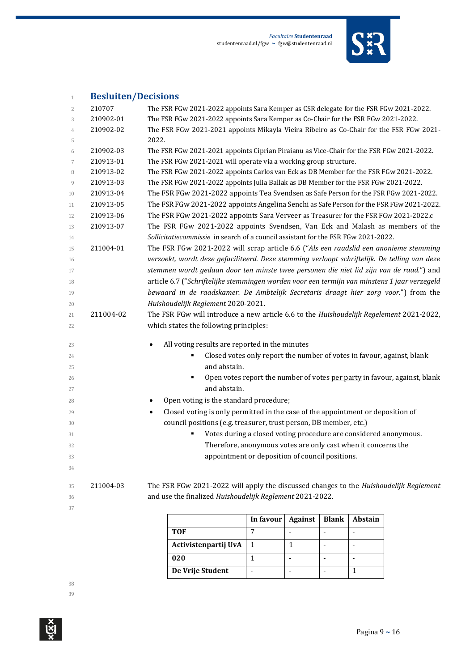

# **Besluiten/Decisions**

| $\overline{2}$ | 210707    | The FSR FGw 2021-2022 appoints Sara Kemper as CSR delegate for the FSR FGw 2021-2022.        |
|----------------|-----------|----------------------------------------------------------------------------------------------|
| 3              | 210902-01 | The FSR FGw 2021-2022 appoints Sara Kemper as Co-Chair for the FSR FGw 2021-2022.            |
| $\overline{4}$ | 210902-02 | The FSR FGw 2021-2021 appoints Mikayla Vieira Ribeiro as Co-Chair for the FSR FGw 2021-      |
| 5              |           | 2022.                                                                                        |
| 6              | 210902-03 | The FSR FGw 2021-2021 appoints Ciprian Piraianu as Vice-Chair for the FSR FGw 2021-2022.     |
| 7              | 210913-01 | The FSR FGw 2021-2021 will operate via a working group structure.                            |
| 8              | 210913-02 | The FSR FGw 2021-2022 appoints Carlos van Eck as DB Member for the FSR FGw 2021-2022.        |
| 9              | 210913-03 | The FSR FGw 2021-2022 appoints Julia Ballak as DB Member for the FSR FGw 2021-2022.          |
| 10             | 210913-04 | The FSR FGw 2021-2022 appoints Tea Svendsen as Safe Person for the FSR FGw 2021-2022.        |
| 11             | 210913-05 | The FSR FGw 2021-2022 appoints Angelina Senchi as Safe Person for the FSR FGw 2021-2022.     |
| 12             | 210913-06 | The FSR FGw 2021-2022 appoints Sara Verveer as Treasurer for the FSR FGw 2021-2022.c         |
| 13             | 210913-07 | The FSR FGw 2021-2022 appoints Svendsen, Van Eck and Malash as members of the                |
| 14             |           | Sollicitatiecommissie in search of a council assistant for the FSR FGw 2021-2022.            |
| 15             | 211004-01 | The FSR FGw 2021-2022 will scrap article 6.6 ("Als een raadslid een anonieme stemming        |
| 16             |           | verzoekt, wordt deze gefaciliteerd. Deze stemming verloopt schriftelijk. De telling van deze |
| 17             |           | stemmen wordt gedaan door ten minste twee personen die niet lid zijn van de raad.") and      |
| 18             |           | article 6.7 ("Schriftelijke stemmingen worden voor een termijn van minstens 1 jaar verzegeld |
| 19             |           | bewaard in de raadskamer. De Ambtelijk Secretaris draagt hier zorg voor.") from the          |
| 20             |           | Huishoudelijk Reglement 2020-2021.                                                           |
| 21             | 211004-02 | The FSR FGw will introduce a new article 6.6 to the Huishoudelijk Regelement 2021-2022,      |
| 22             |           | which states the following principles:                                                       |
|                |           |                                                                                              |
| 23             |           | All voting results are reported in the minutes<br>$\bullet$                                  |
| 24<br>25       |           | Closed votes only report the number of votes in favour, against, blank<br>and abstain.       |
| 26             |           | Open votes report the number of votes per party in favour, against, blank<br>٠               |
| 27             |           | and abstain.                                                                                 |
| 28             |           | Open voting is the standard procedure;<br>٠                                                  |
| 29             |           | Closed voting is only permitted in the case of the appointment or deposition of<br>$\bullet$ |
| 30             |           | council positions (e.g. treasurer, trust person, DB member, etc.)                            |
| 31             |           | Votes during a closed voting procedure are considered anonymous.                             |
| 32             |           | Therefore, anonymous votes are only cast when it concerns the                                |
| 33             |           | appointment or deposition of council positions.                                              |
| 34             |           |                                                                                              |
| 35             | 211004-03 | The FSR FGw 2021-2022 will apply the discussed changes to the Huishoudelijk Reglement        |
| 36             |           | and use the finalized Huishoudelijk Reglement 2021-2022.                                     |
| 37             |           |                                                                                              |
|                |           | $\vert$ Informul Against Dlank Abstain                                                       |

|                      | In favour | <b>Against</b> | <b>Blank</b> | <b>Abstain</b> |
|----------------------|-----------|----------------|--------------|----------------|
| TOF                  |           |                |              |                |
| Activistenpartij UvA |           |                |              |                |
| 020                  |           |                |              |                |
| De Vrije Student     |           |                |              |                |

 $\mathop{\mathrm{Ker}}\nolimits^{\mathbf{X}}$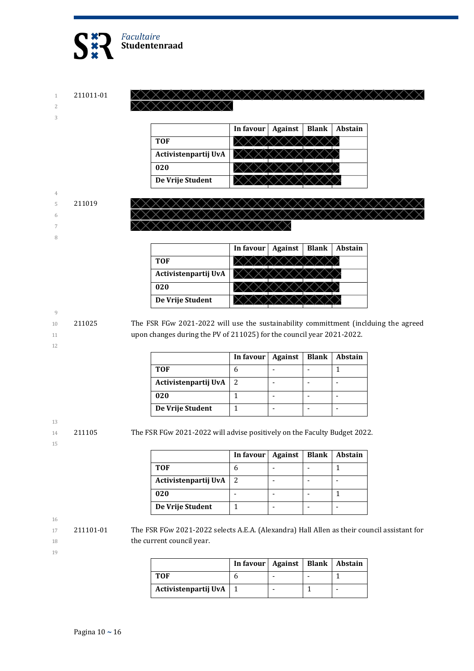

1 211011-01 2

3

|                      | In favour | <b>Against</b> | <b>Blank</b> | Abstain |
|----------------------|-----------|----------------|--------------|---------|
| TOF                  |           |                |              |         |
| Activistenpartij UvA |           |                |              |         |
| 020                  |           |                |              |         |
| De Vrije Student     |           |                |              |         |

XXXXXXXXXXXXXXXXXXXX

 $\times$ 

#### 4 5 211019

- 6
- 7

8

|                      | In favour | <b>Against</b> | <b>Blank</b> | Abstain |
|----------------------|-----------|----------------|--------------|---------|
| TOF                  |           |                |              |         |
| Activistenpartij UvA |           |                |              |         |
| 020                  |           |                |              |         |
| De Vrije Student     |           |                |              |         |

9

12

10 211025 The FSR FGw 2021-2022 will use the sustainability committment (inclduing the agreed 11 upon changes during the PV of 211025) for the council year 2021-2022.

|                      | In favour | <b>Against</b> | <b>Blank</b> | <b>Abstain</b> |
|----------------------|-----------|----------------|--------------|----------------|
| <b>TOF</b>           |           |                |              |                |
| Activistenpartij UvA |           |                |              |                |
| 020                  |           |                |              |                |
| De Vrije Student     |           |                |              |                |

14 211105 The FSR FGw 2021-2022 will advise positively on the Faculty Budget 2022.

| ۰. |  |
|----|--|
|    |  |

13

|                      | In favour $\vert$ | Against | <b>Blank</b> | Abstain |
|----------------------|-------------------|---------|--------------|---------|
| <b>TOF</b>           |                   |         |              |         |
| Activistenpartij UvA |                   |         |              |         |
| 020                  |                   |         |              |         |
| De Vrije Student     |                   |         |              |         |

16

17 211101-01 The FSR FGw 2021-2022 selects A.E.A. (Alexandra) Hall Allen as their council assistant for 18 the current council year.

|                          | In favour   Against   Blank   Abstain |  |  |
|--------------------------|---------------------------------------|--|--|
| TOF                      |                                       |  |  |
| Activistenpartij UvA   1 |                                       |  |  |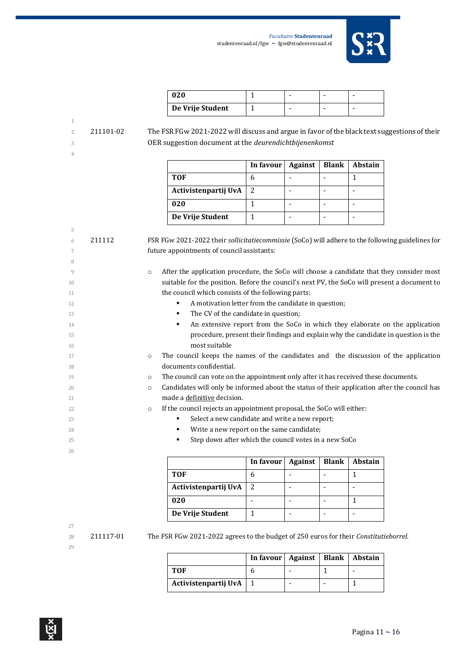

| 020              |  |  |
|------------------|--|--|
| De Vrije Student |  |  |

 211101-02 The FSR FGw 2021-2022 will discuss and argue in favor of the black text suggestions of their OER suggestion document at the *deurendichtbijenenkomst*

|                      | In favour $\vert$ | Against | <b>Blank</b> | <b>Abstain</b> |
|----------------------|-------------------|---------|--------------|----------------|
| <b>TOF</b>           |                   |         |              |                |
| Activistenpartij UvA | 2                 |         |              |                |
| 020                  |                   |         |              |                |
| De Vrije Student     |                   |         |              |                |

| 5  |        |                                                                                                         |
|----|--------|---------------------------------------------------------------------------------------------------------|
| 6  | 211112 | FSR FGw 2021-2022 their sollicitatiecommissie (SoCo) will adhere to the following guidelines for        |
| 7  |        | future appointments of council assistants:                                                              |
| 8  |        |                                                                                                         |
| 9  |        | After the application procedure, the SoCo will choose a candidate that they consider most<br>$\circ$    |
| 10 |        | suitable for the position. Before the council's next PV, the SoCo will present a document to            |
| 11 |        | the council which consists of the following parts:                                                      |
| 12 |        | A motivation letter from the candidate in question;                                                     |
| 13 |        | The CV of the candidate in question;<br>٠                                                               |
| 14 |        | An extensive report from the SoCo in which they elaborate on the application                            |
| 15 |        | procedure, present their findings and explain why the candidate in question is the                      |
| 16 |        | most suitable                                                                                           |
| 17 |        | The council keeps the names of the candidates and the discussion of the application<br>$\circ$          |
| 18 |        | documents confidential.                                                                                 |
| 19 |        | The council can vote on the appointment only after it has received these documents.<br>$\circ$          |
| 20 |        | Candidates will only be informed about the status of their application after the council has<br>$\circ$ |
| 21 |        | made a definitive decision.                                                                             |
| 22 |        | If the council rejects an appointment proposal, the SoCo will either:<br>$\circ$                        |
| 23 |        | Select a new candidate and write a new report;                                                          |
| 24 |        | Write a new report on the same candidate;<br>٠                                                          |
| 25 |        | Step down after which the council votes in a new SoCo<br>٠                                              |
| 26 |        |                                                                                                         |

|                      | In favour   Against | <b>Blank</b> | <b>Abstain</b> |
|----------------------|---------------------|--------------|----------------|
| <b>TOF</b>           |                     |              |                |
| Activistenpartij UvA |                     |              |                |
| 020                  |                     |              |                |
| De Vrije Student     |                     |              |                |

# 

ब्रि

211117-01 The FSR FGw 2021-2022 agrees to the budget of 250 euros for their *Constitutieborrel*.

|                          | In favour   Against   Blank   Abstain |  |  |
|--------------------------|---------------------------------------|--|--|
| TOF                      |                                       |  |  |
| Activistenpartij UvA   1 |                                       |  |  |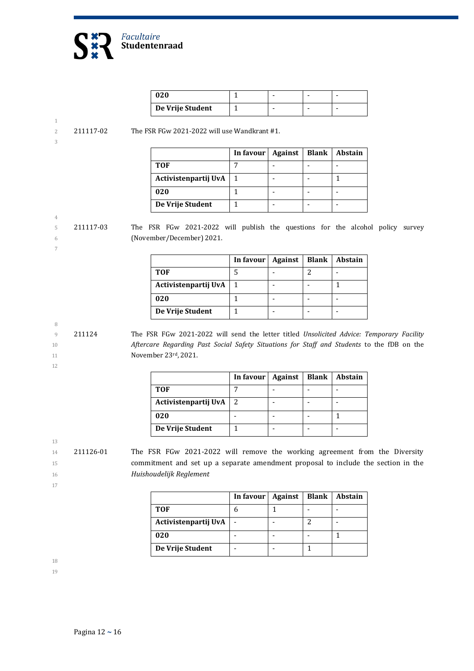

| 020              |  |  |
|------------------|--|--|
| De Vrije Student |  |  |

2 211117-02 The FSR FGw 2021-2022 will use Wandkrant #1.

| I  |    |  |  |
|----|----|--|--|
| ۹  |    |  |  |
| I  | i  |  |  |
| M. | ۰. |  |  |

4

7

|                      | In favour | <b>Against</b> | <b>Blank</b> | <b>Abstain</b> |
|----------------------|-----------|----------------|--------------|----------------|
| <b>TOF</b>           |           |                |              |                |
| Activistenpartij UvA |           |                |              |                |
| 020                  |           |                |              |                |
| De Vrije Student     |           |                |              |                |

5 211117-03 The FSR FGw 2021-2022 will publish the questions for the alcohol policy survey 6 (November/December) 2021.

> **In favour | Against | Blank | Abstain TOF** 5 - 2 - **Activistenpartij UvA** 1 - - 1 **020** 1 - -**De Vrije Student** | 1 | - | - | -

9 211124 The FSR FGw 2021-2022 will send the letter titled *Unsolicited Advice: Temporary Facility*  10 *Aftercare Regarding Past Social Safety Situations for Staff and Students* to the fDB on the 11 **November 23rd, 2021.** 

12

8

|                      | In favour | <b>Against</b> | Blank | Abstain |
|----------------------|-----------|----------------|-------|---------|
| <b>TOF</b>           |           |                |       |         |
| Activistenpartij UvA |           |                |       |         |
| 020                  |           |                |       |         |
| De Vrije Student     |           |                |       |         |

13

14 211126-01 The FSR FGw 2021-2022 will remove the working agreement from the Diversity 15 commitment and set up a separate amendment proposal to include the section in the 16 *Huishoudelijk Reglement*

17

|                      | In favour | <b>Against</b> | <b>Blank</b> | Abstain |
|----------------------|-----------|----------------|--------------|---------|
| <b>TOF</b>           |           |                |              |         |
| Activistenpartij UvA |           |                |              |         |
| 020                  |           |                |              |         |
| De Vrije Student     |           |                |              |         |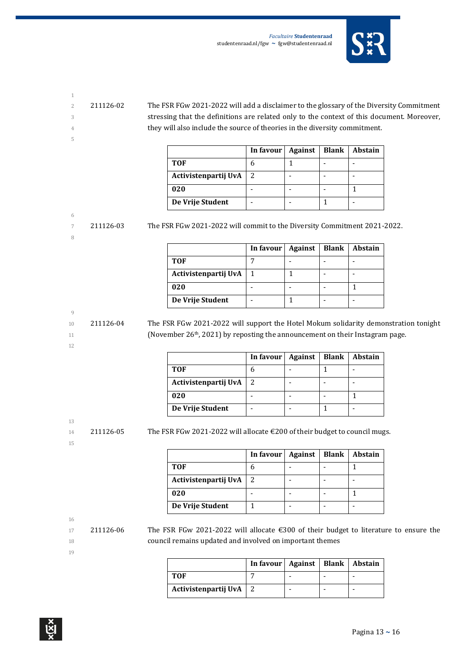

- 
- 

5

2 211126-02 The FSR FGw 2021-2022 will add a disclaimer to the glossary of the Diversity Commitment 3 stressing that the definitions are related only to the context of this document. Moreover, 4 they will also include the source of theories in the diversity commitment.

|                      | In favour   Against | <b>Blank</b> | Abstain |
|----------------------|---------------------|--------------|---------|
| <b>TOF</b>           |                     |              |         |
| Activistenpartij UvA |                     |              |         |
| 020                  |                     |              |         |
| De Vrije Student     |                     |              |         |

## 6

8

7 211126-03 The FSR FGw 2021-2022 will commit to the Diversity Commitment 2021-2022.

|                      | In favour $\vert$ | Against | <b>Blank</b> | <b>Abstain</b> |
|----------------------|-------------------|---------|--------------|----------------|
| <b>TOF</b>           |                   |         |              |                |
| Activistenpartij UvA |                   |         |              |                |
| 020                  |                   |         |              |                |
| De Vrije Student     |                   |         |              |                |

#### 9

12

10 211126-04 The FSR FGw 2021-2022 will support the Hotel Mokum solidarity demonstration tonight 11 (November 26<sup>th</sup>, 2021) by reposting the announcement on their Instagram page.

|                      | In favour   Against | Blank | <b>Abstain</b> |
|----------------------|---------------------|-------|----------------|
| <b>TOF</b>           |                     |       |                |
| Activistenpartij UvA | 2                   |       |                |
| 020                  |                     |       |                |
| De Vrije Student     |                     |       |                |

# 13

15

 $14$  211126-05 The FSR FGw 2021-2022 will allocate  $\epsilon$  200 of their budget to council mugs.

|                      | In favour | <b>Against</b> | <b>Blank</b> | <b>Abstain</b> |
|----------------------|-----------|----------------|--------------|----------------|
| <b>TOF</b>           |           |                |              |                |
| Activistenpartij UvA |           |                |              |                |
| 020                  |           |                |              |                |
| De Vrije Student     |           |                |              |                |

# 16

17 211126-06 The FSR FGw 2021-2022 will allocate €300 of their budget to literature to ensure the 18 council remains updated and involved on important themes

|                          | In favour   Against   Blank   Abstain |  |  |
|--------------------------|---------------------------------------|--|--|
| TOF                      |                                       |  |  |
| Activistenpartij UvA   2 |                                       |  |  |

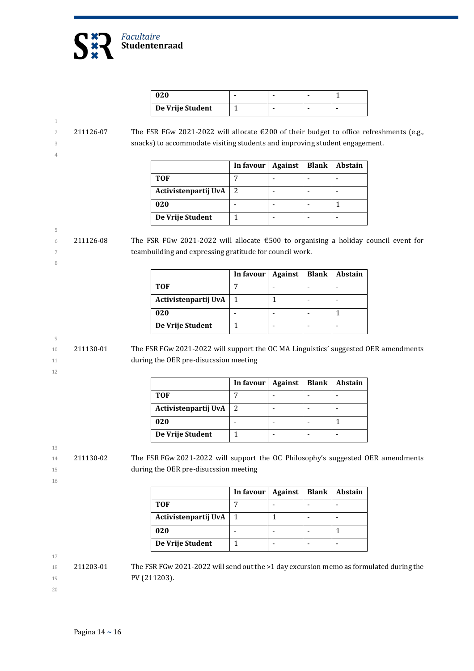

| 020              |  |   |
|------------------|--|---|
| De Vrije Student |  | - |

#### 1 2 211126-07 The FSR FGw 2021-2022 will allocate €200 of their budget to office refreshments (e.g., 3 snacks) to accommodate visiting students and improving student engagement. 4

|                      | In favour | Against | <b>Blank</b> | <b>Abstain</b> |
|----------------------|-----------|---------|--------------|----------------|
| TOF                  |           |         |              |                |
| Activistenpartij UvA |           |         |              |                |
| 020                  |           |         |              |                |
| De Vrije Student     |           |         |              |                |

5 6 211126-08 The FSR FGw 2021-2022 will allocate  $\epsilon$  500 to organising a holiday council event for 7 teambuilding and expressing gratitude for council work.

|                      | In favour | Against | <b>Blank</b> | Abstain |
|----------------------|-----------|---------|--------------|---------|
| <b>TOF</b>           |           |         |              |         |
| Activistenpartij UvA |           |         |              |         |
| 020                  |           |         |              |         |
| De Vrije Student     |           |         |              |         |

$$
9\phantom{.00}
$$

10 211130-01 The FSR FGw 2021-2022 will support the OC MA Linguistics' suggested OER amendments 11 **during the OER pre-disucssion meeting** 

12

8

|                      | In favour   Against | Blank | <b>Abstain</b> |
|----------------------|---------------------|-------|----------------|
| <b>TOF</b>           |                     |       |                |
| Activistenpartij UvA |                     |       |                |
| 020                  |                     |       |                |
| De Vrije Student     |                     |       |                |

13

14 211130-02 The FSR FGw 2021-2022 will support the OC Philosophy's suggested OER amendments 15 during the OER pre-disucssion meeting

16

|                      | In favour | <b>Against</b> | <b>Blank</b> | Abstain |
|----------------------|-----------|----------------|--------------|---------|
| TOF                  |           |                |              |         |
| Activistenpartij UvA |           |                |              |         |
| 020                  |           |                |              |         |
| De Vrije Student     |           |                |              |         |

17

 $18$  211203-01 The FSR FGw 2021-2022 will send out the >1 day excursion memo as formulated during the 19 **PV (211203).**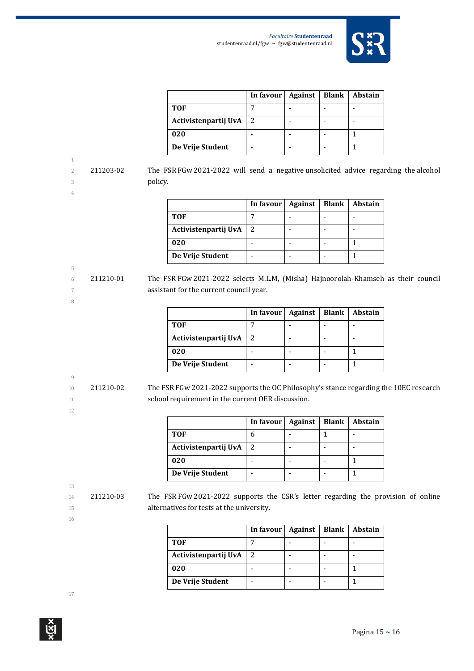

|                      | In favour $\vert$ | Against | <b>Blank</b> | Abstain |
|----------------------|-------------------|---------|--------------|---------|
| <b>TOF</b>           |                   |         |              |         |
| Activistenpartij UvA |                   |         |              |         |
| 020                  |                   |         |              |         |
| De Vrije Student     |                   |         |              |         |

2 211203-02 The FSR FGw 2021-2022 will send a negative unsolicited advice regarding the alcohol 3 policy.

5

8

|                      | In favour | Against | <b>Blank</b> | <b>Abstain</b> |
|----------------------|-----------|---------|--------------|----------------|
| <b>TOF</b>           |           |         |              |                |
| Activistenpartij UvA |           |         |              |                |
| 020                  |           |         |              |                |
| De Vrije Student     |           |         |              |                |

6 211210-01 The FSR FGw 2021-2022 selects M.L.M, (Misha) Hajnoorolah-Khamseh as their council 7 assistant for the current council year.

|                      | In favour $\vert$ | Against | Blank | Abstain |
|----------------------|-------------------|---------|-------|---------|
| <b>TOF</b>           |                   |         |       |         |
| Activistenpartij UvA |                   |         |       |         |
| 020                  |                   |         |       |         |
| De Vrije Student     |                   |         |       |         |

# 9

10 211210-02 The FSR FGw 2021-2022 supports the OC Philosophy's stance regarding the 10EC research 11 school requirement in the current OER discussion.

|                      | In favour | Against | <b>Blank</b> | <b>Abstain</b> |
|----------------------|-----------|---------|--------------|----------------|
| <b>TOF</b>           |           |         |              |                |
| Activistenpartij UvA |           |         |              |                |
| 020                  |           |         |              |                |
| De Vrije Student     |           |         |              |                |

13

12

16

14 211210-03 The FSR FGw 2021-2022 supports the CSR's letter regarding the provision of online 15 alternatives for tests at the university.

|                      | In favour | <b>Against</b> | <b>Blank</b> | Abstain |
|----------------------|-----------|----------------|--------------|---------|
| TOF                  |           |                |              |         |
| Activistenpartij UvA |           |                |              |         |
| 020                  |           |                |              |         |
| De Vrije Student     |           |                |              |         |